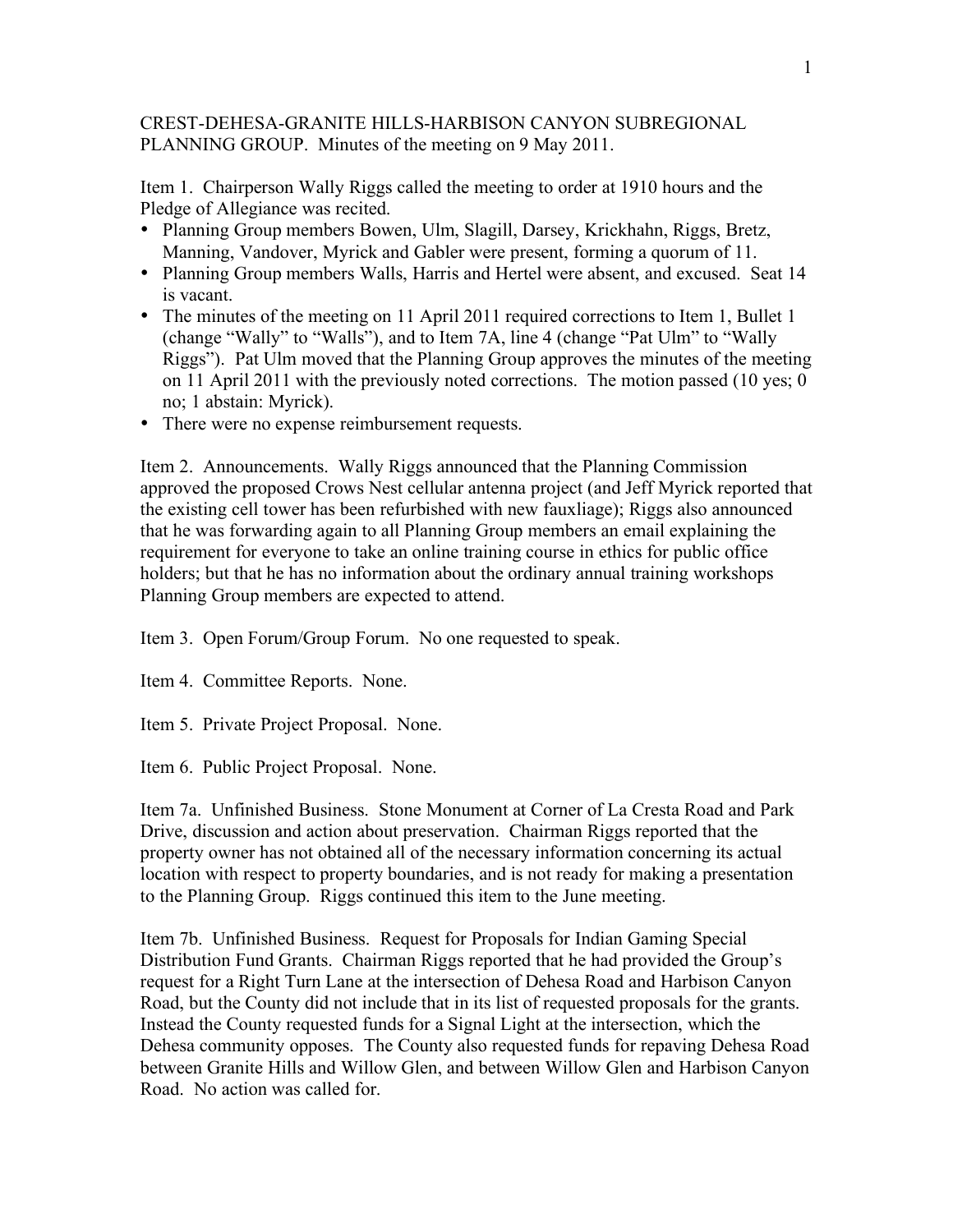CREST-DEHESA-GRANITE HILLS-HARBISON CANYON SUBREGIONAL PLANNING GROUP. Minutes of the meeting on 9 May 2011.

Item 1. Chairperson Wally Riggs called the meeting to order at 1910 hours and the Pledge of Allegiance was recited.

- Planning Group members Bowen, Ulm, Slagill, Darsey, Krickhahn, Riggs, Bretz, Manning, Vandover, Myrick and Gabler were present, forming a quorum of 11.
- Planning Group members Walls, Harris and Hertel were absent, and excused. Seat 14 is vacant.
- The minutes of the meeting on 11 April 2011 required corrections to Item 1, Bullet 1 (change "Wally" to "Walls"), and to Item 7A, line 4 (change "Pat Ulm" to "Wally Riggs"). Pat Ulm moved that the Planning Group approves the minutes of the meeting on 11 April 2011 with the previously noted corrections. The motion passed (10 yes; 0 no; 1 abstain: Myrick).
- There were no expense reimbursement requests.

Item 2. Announcements. Wally Riggs announced that the Planning Commission approved the proposed Crows Nest cellular antenna project (and Jeff Myrick reported that the existing cell tower has been refurbished with new fauxliage); Riggs also announced that he was forwarding again to all Planning Group members an email explaining the requirement for everyone to take an online training course in ethics for public office holders; but that he has no information about the ordinary annual training workshops Planning Group members are expected to attend.

Item 3. Open Forum/Group Forum. No one requested to speak.

Item 4. Committee Reports. None.

Item 5. Private Project Proposal. None.

Item 6. Public Project Proposal. None.

Item 7a. Unfinished Business. Stone Monument at Corner of La Cresta Road and Park Drive, discussion and action about preservation. Chairman Riggs reported that the property owner has not obtained all of the necessary information concerning its actual location with respect to property boundaries, and is not ready for making a presentation to the Planning Group. Riggs continued this item to the June meeting.

Item 7b. Unfinished Business. Request for Proposals for Indian Gaming Special Distribution Fund Grants. Chairman Riggs reported that he had provided the Group's request for a Right Turn Lane at the intersection of Dehesa Road and Harbison Canyon Road, but the County did not include that in its list of requested proposals for the grants. Instead the County requested funds for a Signal Light at the intersection, which the Dehesa community opposes. The County also requested funds for repaving Dehesa Road between Granite Hills and Willow Glen, and between Willow Glen and Harbison Canyon Road. No action was called for.